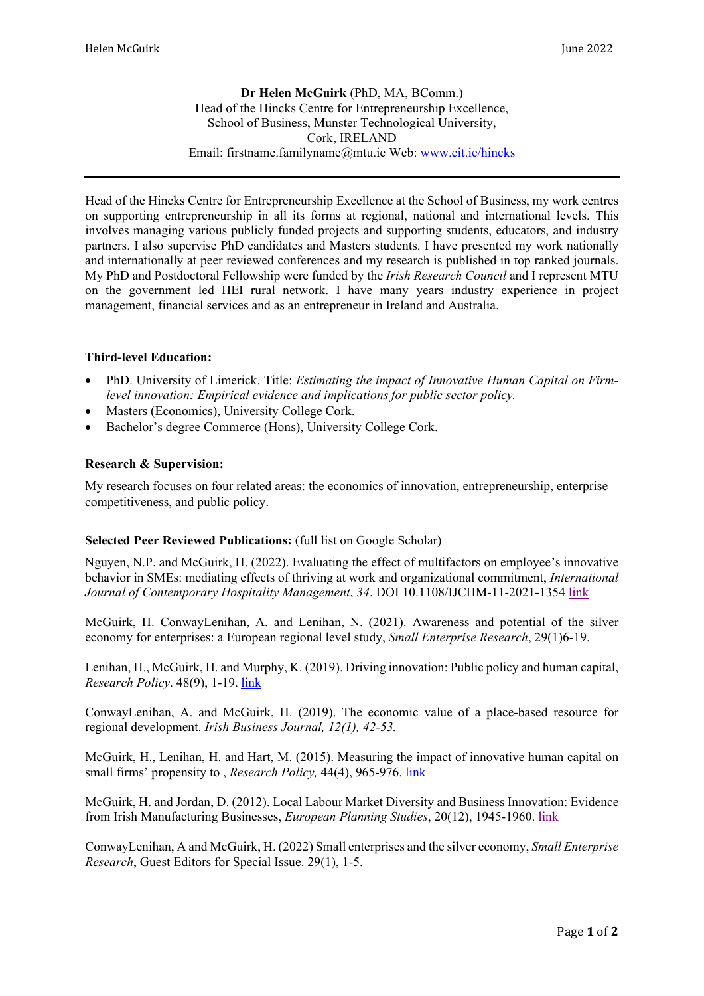**Dr Helen McGuirk** (PhD, MA, BComm.) Head of the Hincks Centre for Entrepreneurship Excellence, School of Business, Munster Technological University, Cork, IRELAND Email: firstname.familyname@mtu.ie Web: [www.cit.ie/hincks](http://www.cit.ie/hincks)

Head of the Hincks Centre for Entrepreneurship Excellence at the School of Business, my work centres on supporting entrepreneurship in all its forms at regional, national and international levels. This involves managing various publicly funded projects and supporting students, educators, and industry partners. I also supervise PhD candidates and Masters students. I have presented my work nationally and internationally at peer reviewed conferences and my research is published in top ranked journals. My PhD and Postdoctoral Fellowship were funded by the *Irish Research Council* and I represent MTU on the government led HEI rural network. I have many years industry experience in project management, financial services and as an entrepreneur in Ireland and Australia.

## **Third-level Education:**

- PhD. University of Limerick. Title: *Estimating the impact of Innovative Human Capital on Firmlevel innovation: Empirical evidence and implications for public sector policy.*
- Masters (Economics), University College Cork.
- Bachelor's degree Commerce (Hons), University College Cork.

## **Research & Supervision:**

My research focuses on four related areas: the economics of innovation, entrepreneurship, enterprise competitiveness, and public policy.

## **Selected Peer Reviewed Publications:** (full list on Google Scholar)

Nguyen, N.P. and McGuirk, H. (2022). Evaluating the effect of multifactors on employee's innovative behavior in SMEs: mediating effects of thriving at work and organizational commitment, *International Journal of Contemporary Hospitality Management*, *34*. DOI 10.1108/IJCHM-11-2021-1354 [link](https://www.emerald.com/insight/content/doi/10.1108/IJCHM-11-2021-1354/full/html)

McGuirk, H. ConwayLenihan, A. and Lenihan, N. (2021). Awareness and potential of the silver economy for enterprises: a European regional level study, *Small Enterprise Research*, 29(1)6-19.

Lenihan, H., McGuirk, H. and Murphy, K. (2019). Driving innovation: Public policy and human capital, *Research Policy*. 48(9), 1-19[.](https://www.sciencedirect.com/science/article/pii/S0048733319300940) [link](https://www.sciencedirect.com/science/article/pii/S0048733319300940)

ConwayLenihan, A. and McGuirk, H. (2019). The economic value of a place-based resource for regional development. *Irish Business Journal, 12(1), 42-53.*

McGuirk, H., Lenihan, H. and Hart, M. (2015). Measuring the impact of innovative human capital on small firms' propensity to , *Research Policy,* 44(4), 965-976. [link](https://www.sciencedirect.com/science/article/pii/S0048733314001991)

McGuirk, H. and Jordan, D. (2012). Local Labour Market Diversity and Business Innovation: Evidence from Irish Manufacturing Businesses, *European Planning Studies*, 20(12), 1945-1960. [link](https://cora.ucc.ie/bitstream/handle/10468/2437/McGuirk_and_Jordan_2012_EPS_for_CORA.pdf?isAllowed=y&sequence=1)

ConwayLenihan, A and McGuirk, H. (2022) Small enterprises and the silver economy, *Small Enterprise Research*, Guest Editors for Special Issue. 29(1), 1-5.